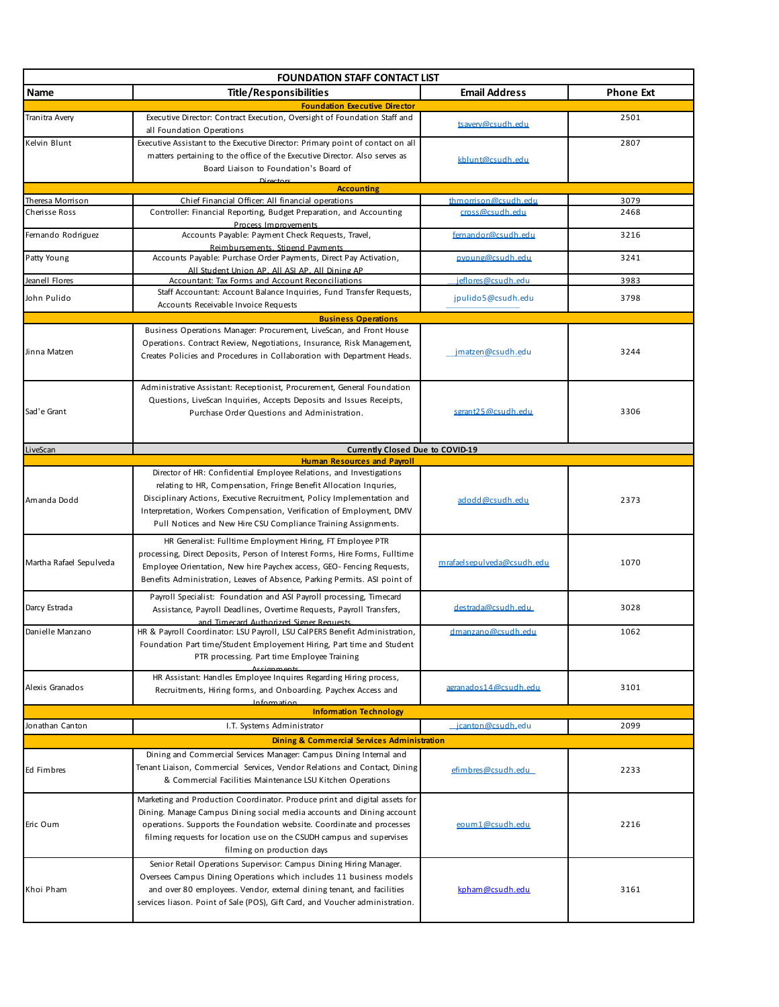| <b>FOUNDATION STAFF CONTACT LIST</b> |                                                                                                                                                   |                            |                  |  |
|--------------------------------------|---------------------------------------------------------------------------------------------------------------------------------------------------|----------------------------|------------------|--|
| Name                                 | <b>Title/Responsibilities</b>                                                                                                                     | <b>Email Address</b>       | <b>Phone Ext</b> |  |
|                                      | <b>Foundation Executive Director</b>                                                                                                              |                            |                  |  |
| Tranitra Avery                       | Executive Director: Contract Execution, Oversight of Foundation Staff and<br>all Foundation Operations                                            | tsavery@csudh.edu          | 2501             |  |
| Kelvin Blunt                         | Executive Assistant to the Executive Director: Primary point of contact on all                                                                    |                            | 2807             |  |
|                                      | matters pertaining to the office of the Executive Director. Also serves as                                                                        | kblunt@csudh.edu           |                  |  |
|                                      | Board Liaison to Foundation's Board of<br>Dirocto                                                                                                 |                            |                  |  |
|                                      | <b>Accounting</b>                                                                                                                                 |                            |                  |  |
| Theresa Morrison                     | Chief Financial Officer: All financial operations                                                                                                 | thmorrison@csudh.edu       | 3079             |  |
| Cherisse Ross                        | Controller: Financial Reporting, Budget Preparation, and Accounting                                                                               | cross@csudh.edu            | 2468             |  |
| Femando Rodriguez                    | Process Improvements<br>Accounts Payable: Payment Check Requests, Travel,                                                                         | femandor@csudh.edu         | 3216             |  |
|                                      | Reimbursements. Stipend Payments                                                                                                                  |                            |                  |  |
| Patty Young                          | Accounts Payable: Purchase Order Payments, Direct Pay Activation,<br>All Student Union AP. All ASI AP. All Dining AP                              | pyoung@csudh.edu           | 3241             |  |
| Jeanell Flores                       | Accountant: Tax Forms and Account Reconciliations                                                                                                 | jeflores@csudh.edu         | 3983             |  |
| John Pulido                          | Staff Accountant: Account Balance Inquiries, Fund Transfer Requests,                                                                              | jpulido5@csudh.edu         | 3798             |  |
|                                      | Accounts Receivable Invoice Requests                                                                                                              |                            |                  |  |
|                                      | <b>Business Operations</b><br>Business Operations Manager: Procurement, LiveScan, and Front House                                                 |                            |                  |  |
|                                      | Operations. Contract Review, Negotiations, Insurance, Risk Management,                                                                            |                            |                  |  |
| Jinna Matzen                         | Creates Policies and Procedures in Collaboration with Department Heads.                                                                           | jmatzen@csudh.edu          | 3244             |  |
|                                      |                                                                                                                                                   |                            |                  |  |
|                                      | Administrative Assistant: Receptionist, Procurement, General Foundation                                                                           |                            |                  |  |
|                                      | Questions, LiveScan Inquiries, Accepts Deposits and Issues Receipts,                                                                              |                            |                  |  |
| Sad'e Grant                          | Purchase Order Questions and Administration.                                                                                                      | sgrant25@csudh.edu         | 3306             |  |
|                                      |                                                                                                                                                   |                            |                  |  |
| LiveScan                             | Currently Closed Due to COVID-19                                                                                                                  |                            |                  |  |
|                                      | <b>Human Resources and Payroll</b>                                                                                                                |                            |                  |  |
|                                      | Director of HR: Confidential Employee Relations, and Investigations                                                                               |                            |                  |  |
|                                      | relating to HR, Compensation, Fringe Benefit Allocation Inquries,                                                                                 |                            |                  |  |
| Amanda Dodd                          | Disciplinary Actions, Executive Recruitment, Policy Implementation and                                                                            | adodd@csudh.edu            | 2373             |  |
|                                      | Interpretation, Workers Compensation, Verification of Employment, DMV                                                                             |                            |                  |  |
|                                      | Pull Notices and New Hire CSU Compliance Training Assignments.                                                                                    |                            |                  |  |
|                                      | HR Generalist: Fulltime Employment Hiring, FT Employee PTR                                                                                        |                            |                  |  |
| Martha Rafael Sepulveda              | processing, Direct Deposits, Person of Interest Forms, Hire Forms, Fulltime                                                                       | mrafaelsepulveda@csudh.edu | 1070             |  |
|                                      | Employee Orientation, New hire Paychex access, GEO-Fencing Requests,<br>Benefits Administration, Leaves of Absence, Parking Permits. ASI point of |                            |                  |  |
|                                      |                                                                                                                                                   |                            |                  |  |
| Darcy Estrada                        | Payroll Specialist: Foundation and ASI Payroll processing, Timecard<br>Assistance, Payroll Deadlines, Overtime Requests, Payroll Transfers,       | destrada@csudh.edu         | 3028             |  |
|                                      | and Timecard Authorized Signer Requests                                                                                                           |                            |                  |  |
| Danielle Manzano                     | HR & Payroll Coordinator: LSU Payroll, LSU CalPERS Benefit Administration,                                                                        | dmanzano@csudh.edu         | 1062             |  |
|                                      | Foundation Part time/Student Employement Hiring, Part time and Student                                                                            |                            |                  |  |
|                                      | PTR processing. Part time Employee Training                                                                                                       |                            |                  |  |
|                                      | HR Assistant: Handles Employee Inquires Regarding Hiring process,                                                                                 |                            |                  |  |
| Alexis Granados                      | Recruitments, Hiring forms, and Onboarding. Paychex Access and                                                                                    | agranados14@csudh.edu      | 3101             |  |
|                                      | Information<br><b>Information Technology</b>                                                                                                      |                            |                  |  |
| Jonathan Canton                      | I.T. Systems Administrator                                                                                                                        | icanton@csudh.edu          | 2099             |  |
|                                      | <b>Dining &amp; Commercial Services Administration</b>                                                                                            |                            |                  |  |
|                                      | Dining and Commercial Services Manager: Campus Dining Internal and                                                                                |                            |                  |  |
| Ed Fimbres                           | Tenant Liaison, Commercial Services, Vendor Relations and Contact, Dining                                                                         | efim bres@csudh.edu        | 2233             |  |
|                                      | & Commercial Facilities Maintenance LSU Kitchen Operations                                                                                        |                            |                  |  |
|                                      | Marketing and Production Coordinator. Produce print and digital assets for                                                                        |                            |                  |  |
|                                      | Dining. Manage Campus Dining social media accounts and Dining account                                                                             |                            |                  |  |
| Eric Oum                             | operations. Supports the Foundation website. Coordinate and processes                                                                             | eoum1@csudh.edu            | 2216             |  |
|                                      | filming requests for location use on the CSUDH campus and supervises                                                                              |                            |                  |  |
|                                      | filming on production days<br>Senior Retail Operations Supervisor: Campus Dining Hiring Manager.                                                  |                            |                  |  |
|                                      | Oversees Campus Dining Operations which includes 11 business models                                                                               |                            |                  |  |
| Khoi Pham                            | and over 80 employees. Vendor, external dining tenant, and facilities                                                                             | kpham@csudh.edu            | 3161             |  |
|                                      | services liason. Point of Sale (POS), Gift Card, and Voucher administration.                                                                      |                            |                  |  |
|                                      |                                                                                                                                                   |                            |                  |  |